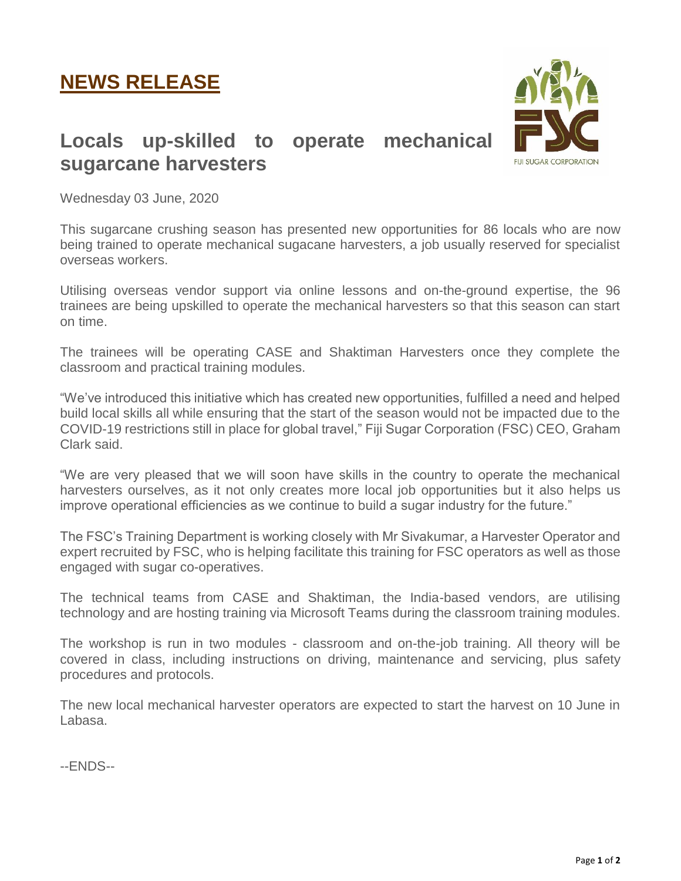## **NEWS RELEASE**



## **Locals up-skilled to operate mechanical sugarcane harvesters**

Wednesday 03 June, 2020

This sugarcane crushing season has presented new opportunities for 86 locals who are now being trained to operate mechanical sugacane harvesters, a job usually reserved for specialist overseas workers.

Utilising overseas vendor support via online lessons and on-the-ground expertise, the 96 trainees are being upskilled to operate the mechanical harvesters so that this season can start on time.

The trainees will be operating CASE and Shaktiman Harvesters once they complete the classroom and practical training modules.

"We've introduced this initiative which has created new opportunities, fulfilled a need and helped build local skills all while ensuring that the start of the season would not be impacted due to the COVID-19 restrictions still in place for global travel," Fiji Sugar Corporation (FSC) CEO, Graham Clark said.

"We are very pleased that we will soon have skills in the country to operate the mechanical harvesters ourselves, as it not only creates more local job opportunities but it also helps us improve operational efficiencies as we continue to build a sugar industry for the future."

The FSC's Training Department is working closely with Mr Sivakumar, a Harvester Operator and expert recruited by FSC, who is helping facilitate this training for FSC operators as well as those engaged with sugar co-operatives.

The technical teams from CASE and Shaktiman, the India-based vendors, are utilising technology and are hosting training via Microsoft Teams during the classroom training modules.

The workshop is run in two modules - classroom and on-the-job training. All theory will be covered in class, including instructions on driving, maintenance and servicing, plus safety procedures and protocols.

The new local mechanical harvester operators are expected to start the harvest on 10 June in Labasa.

--ENDS--